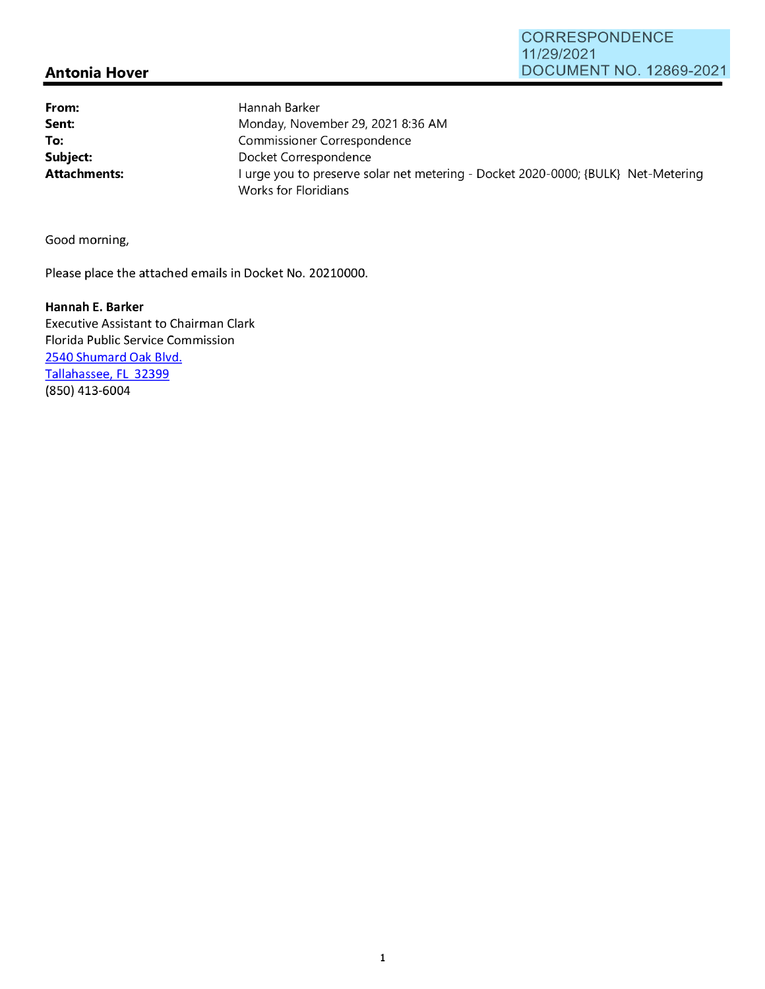**CORRESPONDENCE**  11/29/2021 **DOCUMENT NO.** 12869-2021

## **Antonia Hover**

**From: Sent: To: Subject:**  Hannah Barker

Monday, November 29, 2021 8:36 **AM**  Commissioner Correspondence Docket Correspondence Attachments: **I** urge you to preserve solar net metering - Docket 2020-0000; {BULK} Net-Metering Works for Floridians

Good morning,

Please place the attached emails in Docket No. 20210000.

**Hannah E. Barker**  Executive Assistant to Chairman Clark Florida Public Service Commission 2540 Shumard Oak Blvd. Tallahassee, FL 32399 (850) 413-6004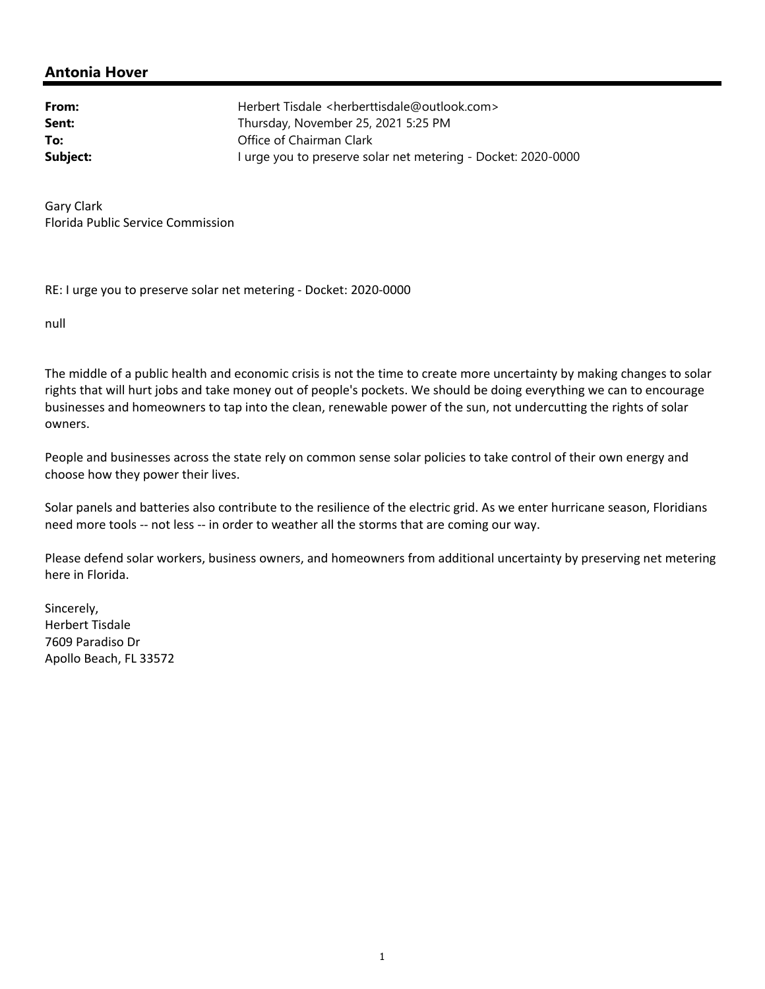## **Antonia Hover**

| From:    | Herbert Tisdale <herberttisdale@outlook.com></herberttisdale@outlook.com> |
|----------|---------------------------------------------------------------------------|
| Sent:    | Thursday, November 25, 2021 5:25 PM                                       |
| To:      | Office of Chairman Clark                                                  |
| Subject: | I urge you to preserve solar net metering - Docket: 2020-0000             |

Gary Clark Florida Public Service Commission

RE: I urge you to preserve solar net metering ‐ Docket: 2020‐0000

null

The middle of a public health and economic crisis is not the time to create more uncertainty by making changes to solar rights that will hurt jobs and take money out of people's pockets. We should be doing everything we can to encourage businesses and homeowners to tap into the clean, renewable power of the sun, not undercutting the rights of solar owners.

People and businesses across the state rely on common sense solar policies to take control of their own energy and choose how they power their lives.

Solar panels and batteries also contribute to the resilience of the electric grid. As we enter hurricane season, Floridians need more tools ‐‐ not less ‐‐ in order to weather all the storms that are coming our way.

Please defend solar workers, business owners, and homeowners from additional uncertainty by preserving net metering here in Florida.

Sincerely, Herbert Tisdale 7609 Paradiso Dr Apollo Beach, FL 33572